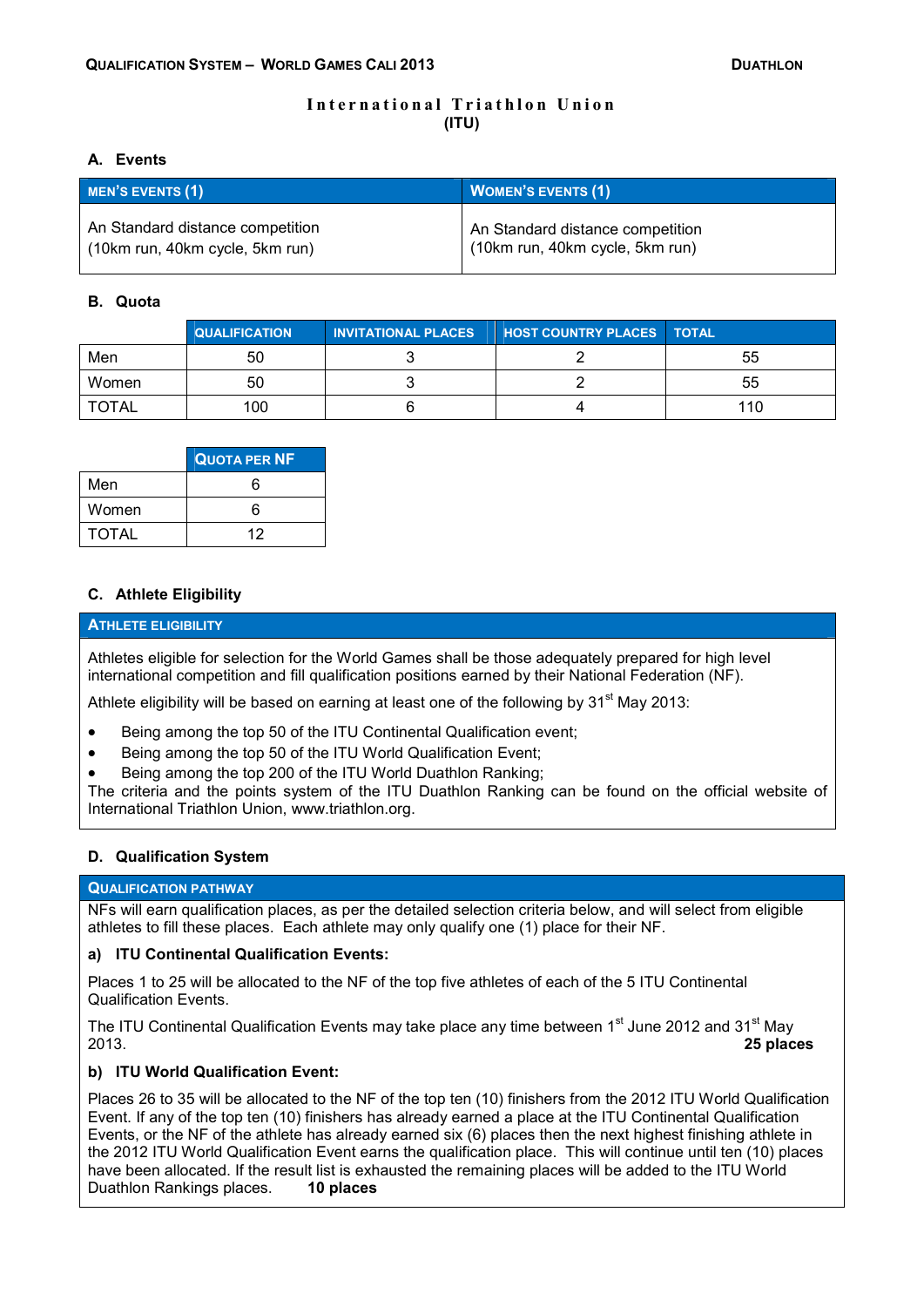# **International Triathlon Union (ITU)**

## **A. Events**

| <b>MEN'S EVENTS (1)</b>          | <b>WOMEN'S EVENTS (1)</b>        |  |
|----------------------------------|----------------------------------|--|
| An Standard distance competition | An Standard distance competition |  |
| (10km run, 40km cycle, 5km run)  | (10km run, 40km cycle, 5km run)  |  |

## **B. Quota**

|              | <b>QUALIFICATION</b> | <b>INVITATIONAL PLACES</b> | <b>HOST COUNTRY PLACES   TOTAL</b> |     |
|--------------|----------------------|----------------------------|------------------------------------|-----|
| Men          | 50                   |                            |                                    | 55  |
| Women        | 50                   |                            |                                    | 55  |
| <b>TOTAL</b> | 100                  |                            |                                    | 110 |

|              | <b>QUOTA PER NF</b> |
|--------------|---------------------|
| Men          | ่ค                  |
| Women        | ค                   |
| <b>TOTAL</b> | 12                  |

# **C. Athlete Eligibility**

## **ATHLETE ELIGIBILITY**

Athletes eligible for selection for the World Games shall be those adequately prepared for high level international competition and fill qualification positions earned by their National Federation (NF).

Athlete eligibility will be based on earning at least one of the following by  $31<sup>st</sup>$  May 2013:

- Being among the top 50 of the ITU Continental Qualification event;
- Being among the top 50 of the ITU World Qualification Event;
- Being among the top 200 of the ITU World Duathlon Ranking;

The criteria and the points system of the ITU Duathlon Ranking can be found on the official website of International Triathlon Union, www.triathlon.org.

# **D. Qualification System**

### **QUALIFICATION PATHWAY**

NFs will earn qualification places, as per the detailed selection criteria below, and will select from eligible athletes to fill these places. Each athlete may only qualify one (1) place for their NF.

# **a) ITU Continental Qualification Events:**

Places 1 to 25 will be allocated to the NF of the top five athletes of each of the 5 ITU Continental Qualification Events.

The ITU Continental Qualification Events may take place any time between 1<sup>st</sup> June 2012 and 31<sup>st</sup> May<br>2**5 places** 2013. **25 places**

# **b) ITU World Qualification Event:**

Places 26 to 35 will be allocated to the NF of the top ten (10) finishers from the 2012 ITU World Qualification Event. If any of the top ten (10) finishers has already earned a place at the ITU Continental Qualification Events, or the NF of the athlete has already earned six (6) places then the next highest finishing athlete in the 2012 ITU World Qualification Event earns the qualification place. This will continue until ten (10) places have been allocated. If the result list is exhausted the remaining places will be added to the ITU World<br>Duathlon Rankings places. **10 places** Duathlon Rankings places. **10 places**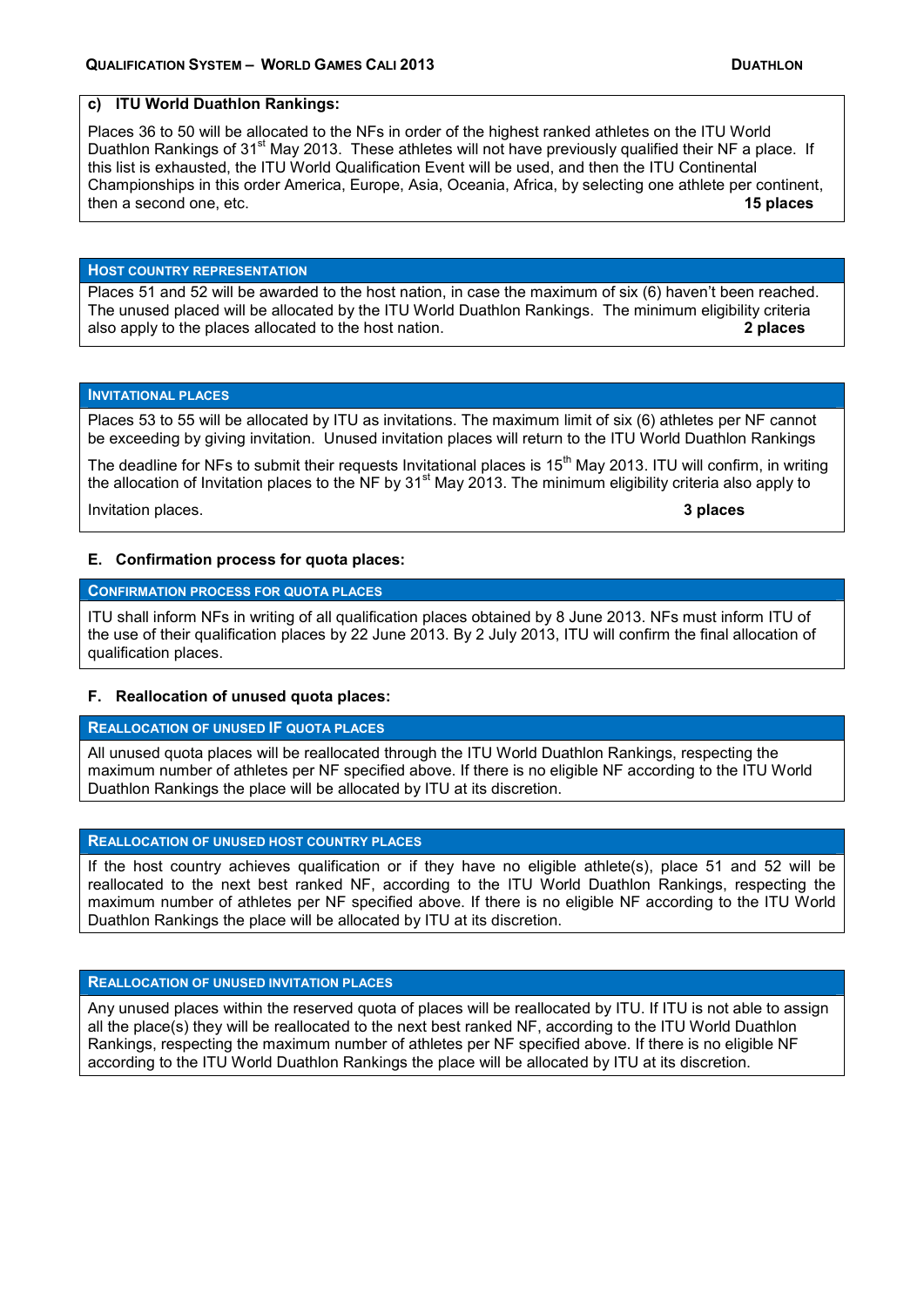## **c) ITU World Duathlon Rankings:**

Places 36 to 50 will be allocated to the NFs in order of the highest ranked athletes on the ITU World Duathlon Rankings of 31<sup>st</sup> May 2013. These athletes will not have previously qualified their NF a place. If this list is exhausted, the ITU World Qualification Event will be used, and then the ITU Continental Championships in this order America, Europe, Asia, Oceania, Africa, by selecting one athlete per continent, then a second one, etc. **15 places**

#### **HOST COUNTRY REPRESENTATION**

Places 51 and 52 will be awarded to the host nation, in case the maximum of six (6) haven't been reached. The unused placed will be allocated by the ITU World Duathlon Rankings. The minimum eligibility criteria also apply to the places allocated to the host nation. **2 places**

#### **INVITATIONAL PLACES**

Places 53 to 55 will be allocated by ITU as invitations. The maximum limit of six (6) athletes per NF cannot be exceeding by giving invitation. Unused invitation places will return to the ITU World Duathlon Rankings

The deadline for NFs to submit their requests Invitational places is  $15<sup>th</sup>$  May 2013. ITU will confirm, in writing the allocation of Invitation places to the NF by  $31<sup>st</sup>$  May 2013. The minimum eligibility criteria also apply to

Invitation places. **3 places**

#### **E. Confirmation process for quota places:**

### **CONFIRMATION PROCESS FOR QUOTA PLACES**

ITU shall inform NFs in writing of all qualification places obtained by 8 June 2013. NFs must inform ITU of the use of their qualification places by 22 June 2013. By 2 July 2013, ITU will confirm the final allocation of qualification places.

### **F. Reallocation of unused quota places:**

## **REALLOCATION OF UNUSED IF QUOTA PLACES**

All unused quota places will be reallocated through the ITU World Duathlon Rankings, respecting the maximum number of athletes per NF specified above. If there is no eligible NF according to the ITU World Duathlon Rankings the place will be allocated by ITU at its discretion.

### **REALLOCATION OF UNUSED HOST COUNTRY PLACES**

If the host country achieves qualification or if they have no eligible athlete(s), place 51 and 52 will be reallocated to the next best ranked NF, according to the ITU World Duathlon Rankings, respecting the maximum number of athletes per NF specified above. If there is no eligible NF according to the ITU World Duathlon Rankings the place will be allocated by ITU at its discretion.

#### **REALLOCATION OF UNUSED INVITATION PLACES**

Any unused places within the reserved quota of places will be reallocated by ITU. If ITU is not able to assign all the place(s) they will be reallocated to the next best ranked NF, according to the ITU World Duathlon Rankings, respecting the maximum number of athletes per NF specified above. If there is no eligible NF according to the ITU World Duathlon Rankings the place will be allocated by ITU at its discretion.